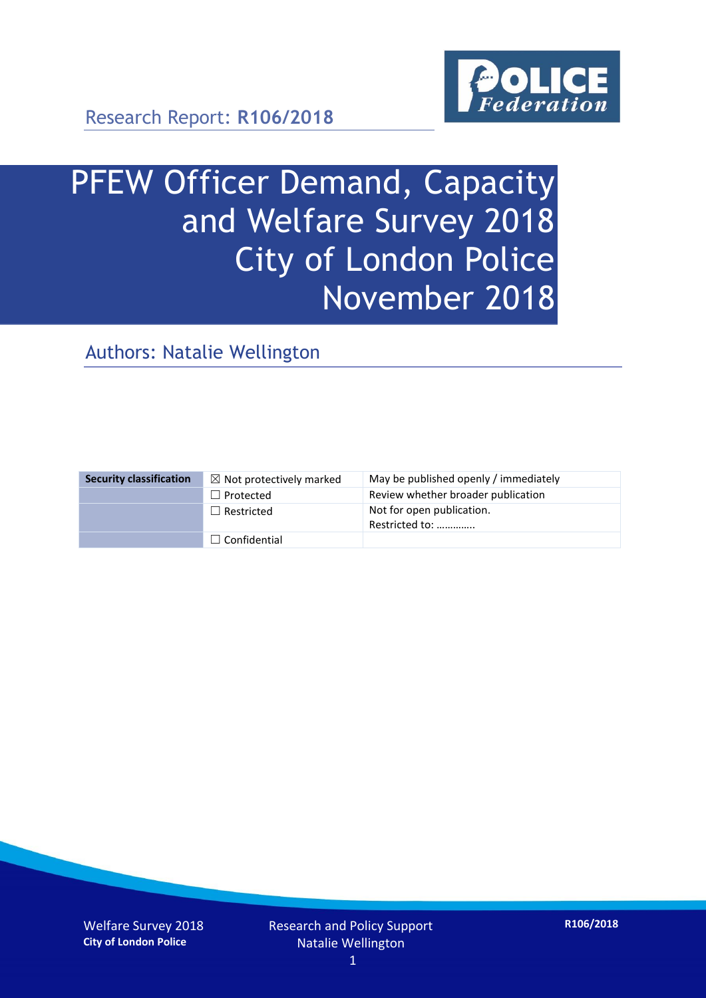

Research Report: **R106/2018**

# PFEW Officer Demand, Capacity and Welfare Survey 2018 City of London Police November 2018

Authors: Natalie Wellington

| <b>Security classification</b> | $\boxtimes$ Not protectively marked | May be published openly / immediately       |
|--------------------------------|-------------------------------------|---------------------------------------------|
|                                | $\Box$ Protected                    | Review whether broader publication          |
|                                | $\Box$ Restricted                   | Not for open publication.<br>Restricted to: |
|                                | $\Box$ Confidential                 |                                             |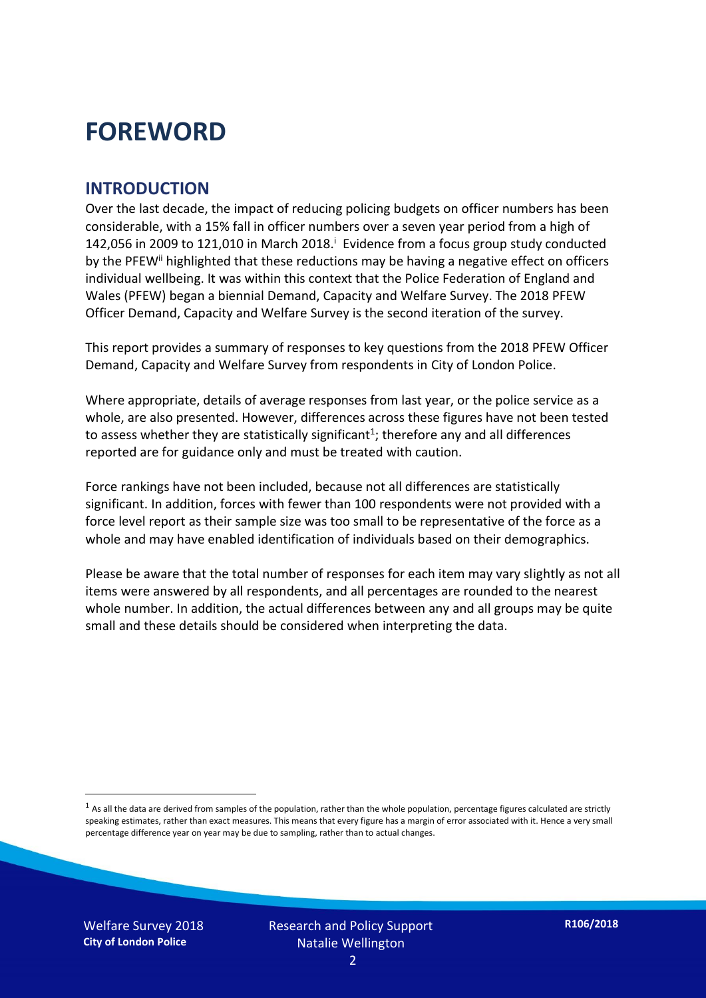## **FOREWORD**

#### **INTRODUCTION**

Over the last decade, the impact of reducing policing budgets on officer numbers has been considerable, with a 15% fall in officer numbers over a seven year period from a high of 142,056 in 2009 to 121,010 in March 2018. $^{\mathrm{i}}$  Evidence from a focus group study conducted by the PFEW<sup>ii</sup> highlighted that these reductions may be having a negative effect on officers individual wellbeing. It was within this context that the Police Federation of England and Wales (PFEW) began a biennial Demand, Capacity and Welfare Survey. The 2018 PFEW Officer Demand, Capacity and Welfare Survey is the second iteration of the survey.

This report provides a summary of responses to key questions from the 2018 PFEW Officer Demand, Capacity and Welfare Survey from respondents in City of London Police.

Where appropriate, details of average responses from last year, or the police service as a whole, are also presented. However, differences across these figures have not been tested to assess whether they are statistically significant<sup>1</sup>; therefore any and all differences reported are for guidance only and must be treated with caution.

Force rankings have not been included, because not all differences are statistically significant. In addition, forces with fewer than 100 respondents were not provided with a force level report as their sample size was too small to be representative of the force as a whole and may have enabled identification of individuals based on their demographics.

Please be aware that the total number of responses for each item may vary slightly as not all items were answered by all respondents, and all percentages are rounded to the nearest whole number. In addition, the actual differences between any and all groups may be quite small and these details should be considered when interpreting the data.

 $<sup>1</sup>$  As all the data are derived from samples of the population, rather than the whole population, percentage figures calculated are strictly</sup> speaking estimates, rather than exact measures. This means that every figure has a margin of error associated with it. Hence a very small percentage difference year on year may be due to sampling, rather than to actual changes.

Welfare Survey 2018 **City of London Police**

-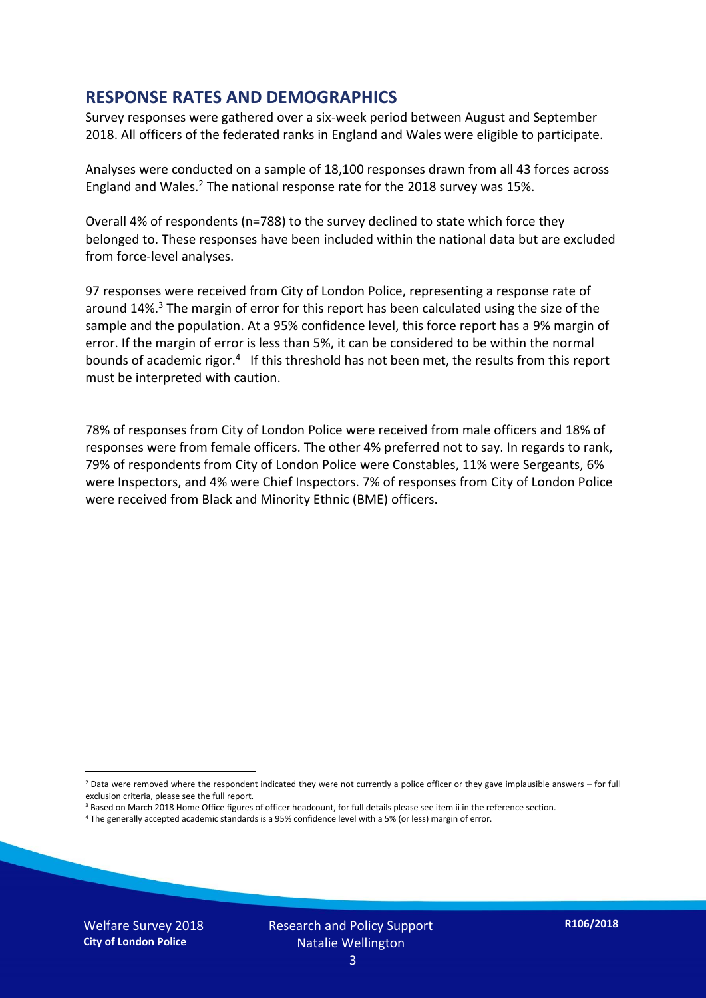#### **RESPONSE RATES AND DEMOGRAPHICS**

Survey responses were gathered over a six-week period between August and September 2018. All officers of the federated ranks in England and Wales were eligible to participate.

Analyses were conducted on a sample of 18,100 responses drawn from all 43 forces across England and Wales.<sup>2</sup> The national response rate for the 2018 survey was 15%.

Overall 4% of respondents (n=788) to the survey declined to state which force they belonged to. These responses have been included within the national data but are excluded from force-level analyses.

97 responses were received from City of London Police, representing a response rate of around 14%. <sup>3</sup> The margin of error for this report has been calculated using the size of the sample and the population. At a 95% confidence level, this force report has a 9% margin of error. If the margin of error is less than 5%, it can be considered to be within the normal bounds of academic rigor.<sup>4</sup> If this threshold has not been met, the results from this report must be interpreted with caution.

78% of responses from City of London Police were received from male officers and 18% of responses were from female officers. The other 4% preferred not to say. In regards to rank, 79% of respondents from City of London Police were Constables, 11% were Sergeants, 6% were Inspectors, and 4% were Chief Inspectors. 7% of responses from City of London Police were received from Black and Minority Ethnic (BME) officers.

-

 $2$  Data were removed where the respondent indicated they were not currently a police officer or they gave implausible answers – for full exclusion criteria, please see the full report.

<sup>3</sup> Based on March 2018 Home Office figures of officer headcount, for full details please see item ii in the reference section.

<sup>4</sup> The generally accepted academic standards is a 95% confidence level with a 5% (or less) margin of error.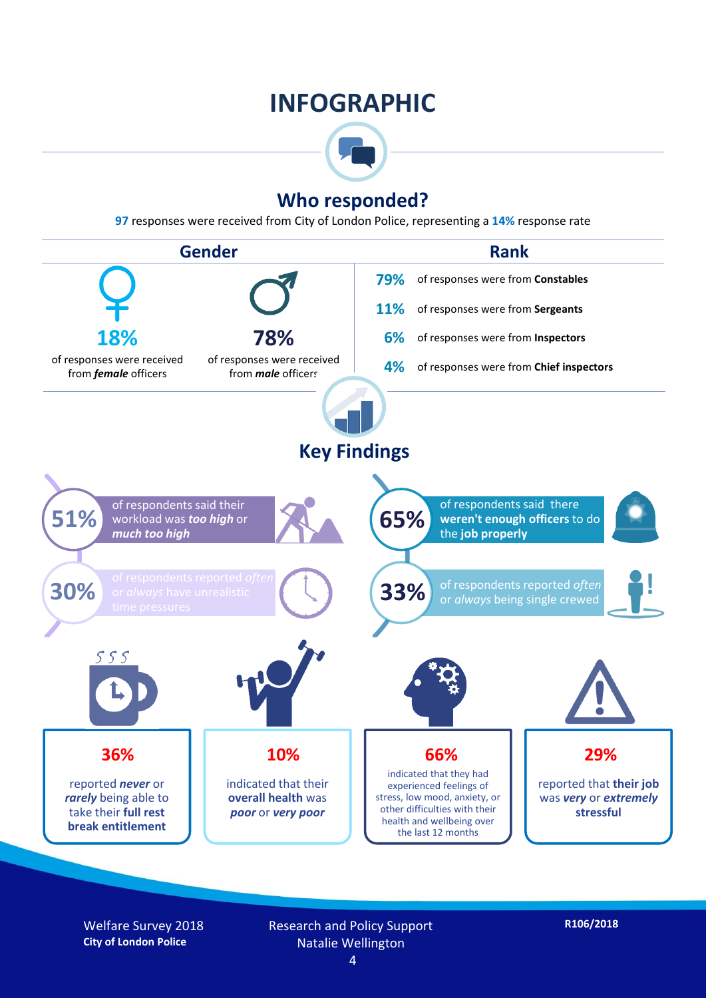## **INFOGRAPHIC**



### **Who responded?**

**97** responses were received from City of London Police, representing a **14%** response rate



Welfare Survey 2018 **City of London Police**

Research and Policy Support Natalie Wellington

**R106/2018**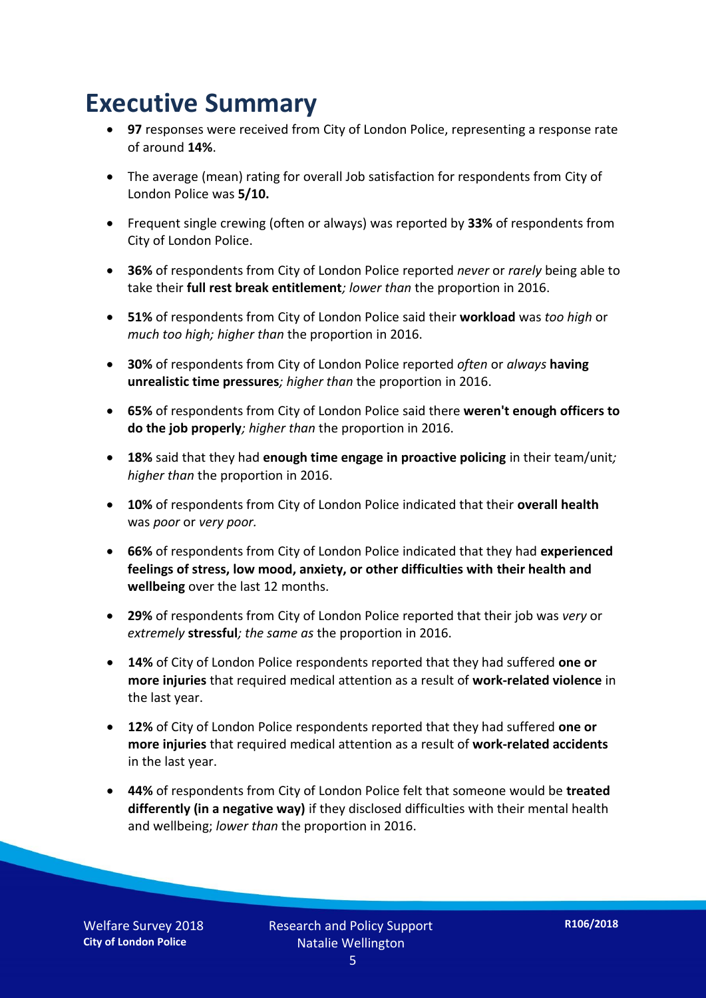## **Executive Summary**

- **97** responses were received from City of London Police, representing a response rate of around **14%**.
- The average (mean) rating for overall Job satisfaction for respondents from City of London Police was **5/10.**
- Frequent single crewing (often or always) was reported by **33%** of respondents from City of London Police.
- **36%** of respondents from City of London Police reported *never* or *rarely* being able to take their **full rest break entitlement***; lower than* the proportion in 2016.
- **51%** of respondents from City of London Police said their **workload** was *too high* or *much too high; higher than* the proportion in 2016.
- **30%** of respondents from City of London Police reported *often* or *always* **having unrealistic time pressures***; higher than* the proportion in 2016.
- **65%** of respondents from City of London Police said there **weren't enough officers to do the job properly***; higher than* the proportion in 2016.
- **18%** said that they had **enough time engage in proactive policing** in their team/unit*; higher than* the proportion in 2016.
- **10%** of respondents from City of London Police indicated that their **overall health** was *poor* or *very poor.*
- **66%** of respondents from City of London Police indicated that they had **experienced feelings of stress, low mood, anxiety, or other difficulties with their health and wellbeing** over the last 12 months.
- **29%** of respondents from City of London Police reported that their job was *very* or *extremely* **stressful***; the same as* the proportion in 2016.
- **14%** of City of London Police respondents reported that they had suffered **one or more injuries** that required medical attention as a result of **work-related violence** in the last year.
- **12%** of City of London Police respondents reported that they had suffered **one or more injuries** that required medical attention as a result of **work-related accidents**  in the last year.
- **44%** of respondents from City of London Police felt that someone would be **treated differently (in a negative way)** if they disclosed difficulties with their mental health and wellbeing; *lower than* the proportion in 2016.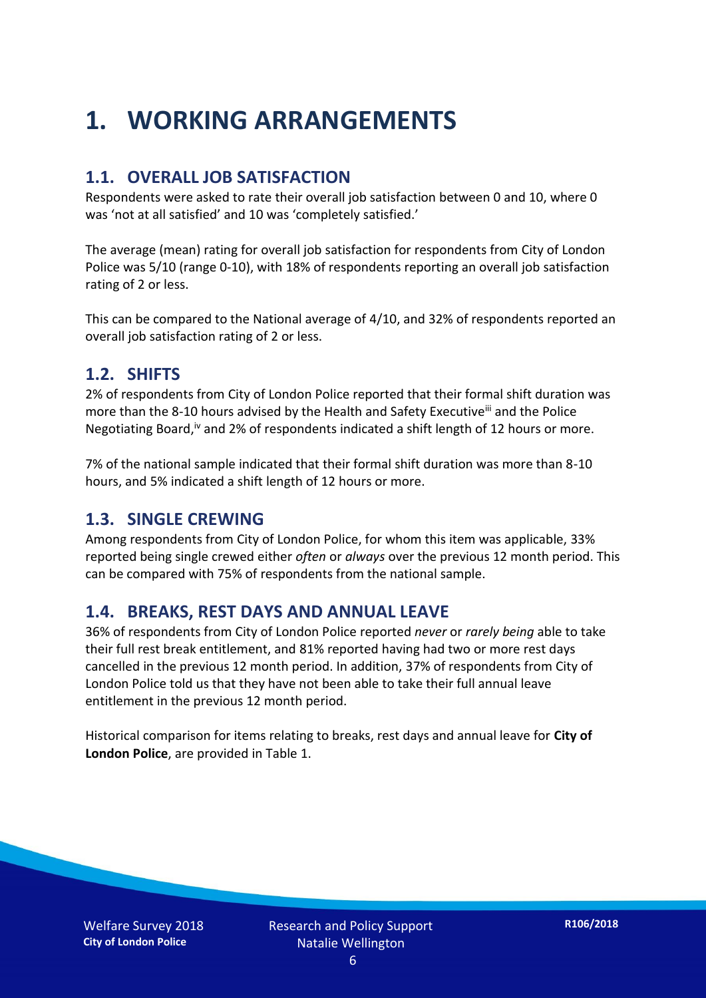## **1. WORKING ARRANGEMENTS**

#### **1.1. OVERALL JOB SATISFACTION**

Respondents were asked to rate their overall job satisfaction between 0 and 10, where 0 was 'not at all satisfied' and 10 was 'completely satisfied.'

The average (mean) rating for overall job satisfaction for respondents from City of London Police was 5/10 (range 0-10), with 18% of respondents reporting an overall job satisfaction rating of 2 or less.

This can be compared to the National average of 4/10, and 32% of respondents reported an overall job satisfaction rating of 2 or less.

#### **1.2. SHIFTS**

2% of respondents from City of London Police reported that their formal shift duration was more than the 8-10 hours advised by the Health and Safety Executive<sup>iii</sup> and the Police Negotiating Board,<sup>iv</sup> and 2% of respondents indicated a shift length of 12 hours or more.

7% of the national sample indicated that their formal shift duration was more than 8-10 hours, and 5% indicated a shift length of 12 hours or more.

#### **1.3. SINGLE CREWING**

Among respondents from City of London Police, for whom this item was applicable, 33% reported being single crewed either *often* or *always* over the previous 12 month period. This can be compared with 75% of respondents from the national sample.

#### **1.4. BREAKS, REST DAYS AND ANNUAL LEAVE**

36% of respondents from City of London Police reported *never* or *rarely being* able to take their full rest break entitlement, and 81% reported having had two or more rest days cancelled in the previous 12 month period. In addition, 37% of respondents from City of London Police told us that they have not been able to take their full annual leave entitlement in the previous 12 month period.

Historical comparison for items relating to breaks, rest days and annual leave for **City of London Police**, are provided in Table 1.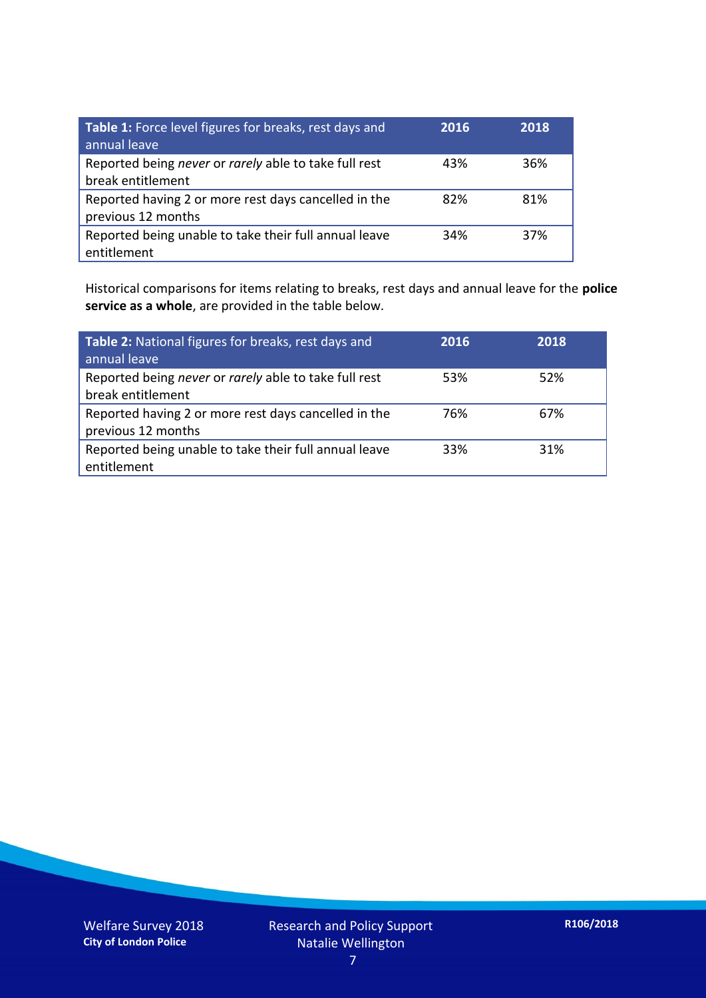| Table 1: Force level figures for breaks, rest days and<br>annual leave     | 2016 | 2018 |
|----------------------------------------------------------------------------|------|------|
| Reported being never or rarely able to take full rest<br>break entitlement | 43%  | 36%  |
| Reported having 2 or more rest days cancelled in the<br>previous 12 months | 82%  | 81%  |
| Reported being unable to take their full annual leave<br>entitlement       | 34%  | 37%  |

Historical comparisons for items relating to breaks, rest days and annual leave for the **police service as a whole**, are provided in the table below.

| Table 2: National figures for breaks, rest days and<br>annual leave        | 2016 | 2018 |
|----------------------------------------------------------------------------|------|------|
| Reported being never or rarely able to take full rest<br>break entitlement | 53%  | 52%  |
| Reported having 2 or more rest days cancelled in the<br>previous 12 months | 76%  | 67%  |
| Reported being unable to take their full annual leave<br>entitlement       | 33%  | 31%  |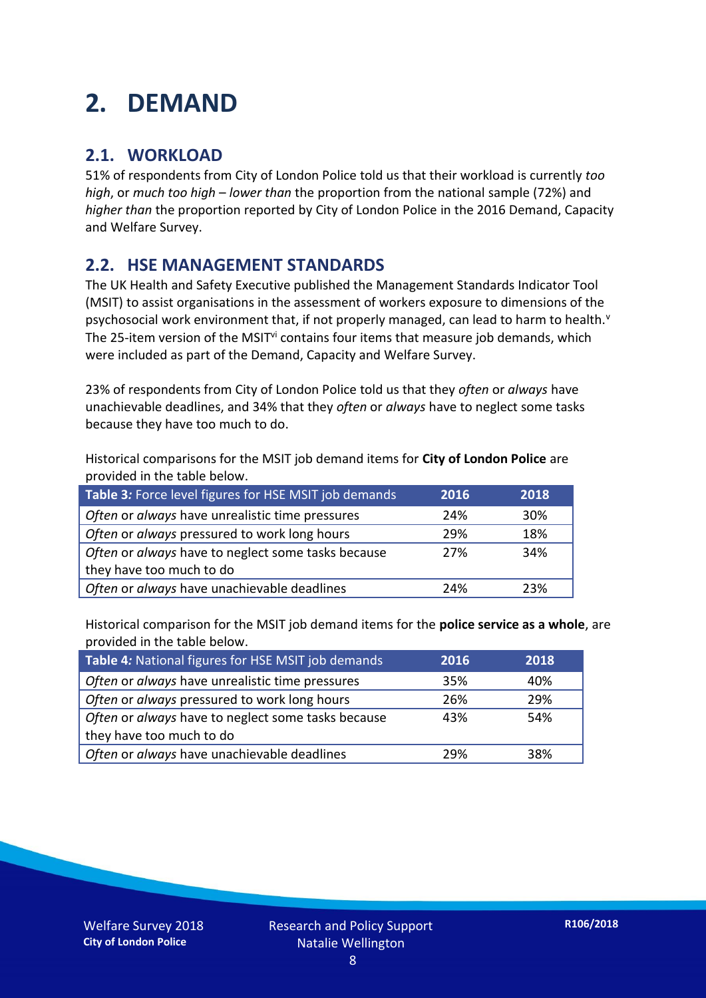## **2. DEMAND**

### **2.1. WORKLOAD**

51% of respondents from City of London Police told us that their workload is currently *too high*, or *much too high* – *lower than* the proportion from the national sample (72%) and *higher than* the proportion reported by City of London Police in the 2016 Demand, Capacity and Welfare Survey.

### **2.2. HSE MANAGEMENT STANDARDS**

The UK Health and Safety Executive published the Management Standards Indicator Tool (MSIT) to assist organisations in the assessment of workers exposure to dimensions of the psychosocial work environment that, if not properly managed, can lead to harm to health.<sup>v</sup> The 25-item version of the MSIT<sup>vi</sup> contains four items that measure job demands, which were included as part of the Demand, Capacity and Welfare Survey.

23% of respondents from City of London Police told us that they *often* or *always* have unachievable deadlines, and 34% that they *often* or *always* have to neglect some tasks because they have too much to do.

Historical comparisons for the MSIT job demand items for **City of London Police** are provided in the table below.

| Table 3: Force level figures for HSE MSIT job demands | 2016 | 2018 |
|-------------------------------------------------------|------|------|
| Often or always have unrealistic time pressures       | 24%  | 30%  |
| Often or always pressured to work long hours          | 29%  | 18%  |
| Often or always have to neglect some tasks because    | 27%  | 34%  |
| they have too much to do                              |      |      |
| Often or always have unachievable deadlines           | 24%  | 23%  |

Historical comparison for the MSIT job demand items for the **police service as a whole**, are provided in the table below.

| Table 4: National figures for HSE MSIT job demands | 2016 | 2018 |
|----------------------------------------------------|------|------|
| Often or always have unrealistic time pressures    | 35%  | 40%  |
| Often or always pressured to work long hours       | 26%  | 29%  |
| Often or always have to neglect some tasks because | 43%  | 54%  |
| they have too much to do                           |      |      |
| Often or always have unachievable deadlines        | 29%  | 38%  |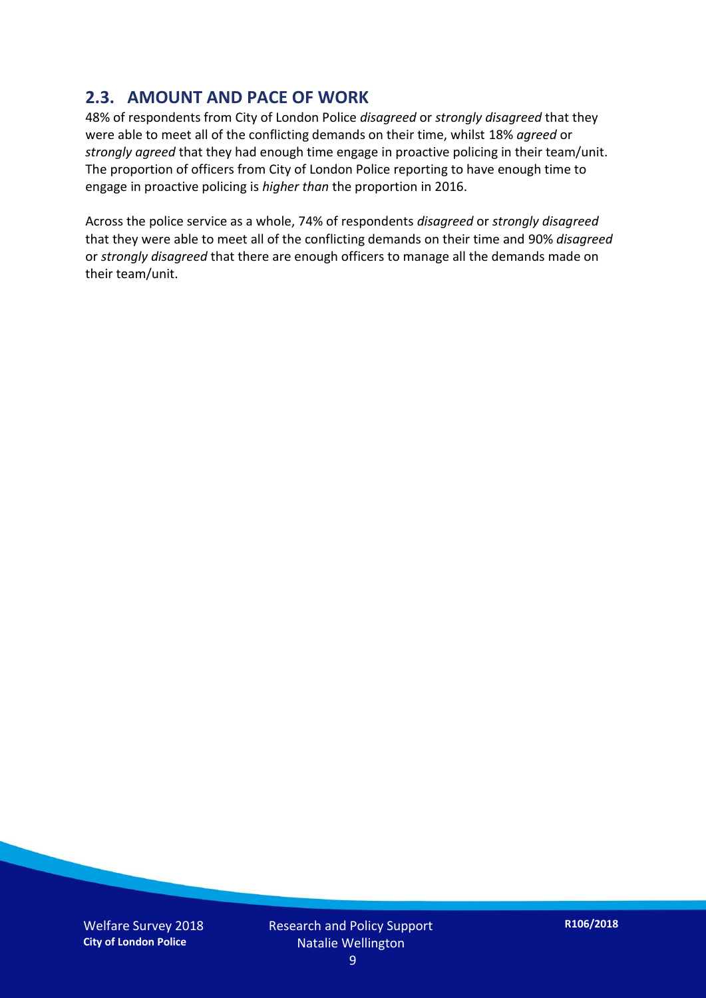### **2.3. AMOUNT AND PACE OF WORK**

48% of respondents from City of London Police *disagreed* or *strongly disagreed* that they were able to meet all of the conflicting demands on their time, whilst 18% *agreed* or *strongly agreed* that they had enough time engage in proactive policing in their team/unit. The proportion of officers from City of London Police reporting to have enough time to engage in proactive policing is *higher than* the proportion in 2016.

Across the police service as a whole, 74% of respondents *disagreed* or *strongly disagreed* that they were able to meet all of the conflicting demands on their time and 90% *disagreed* or *strongly disagreed* that there are enough officers to manage all the demands made on their team/unit.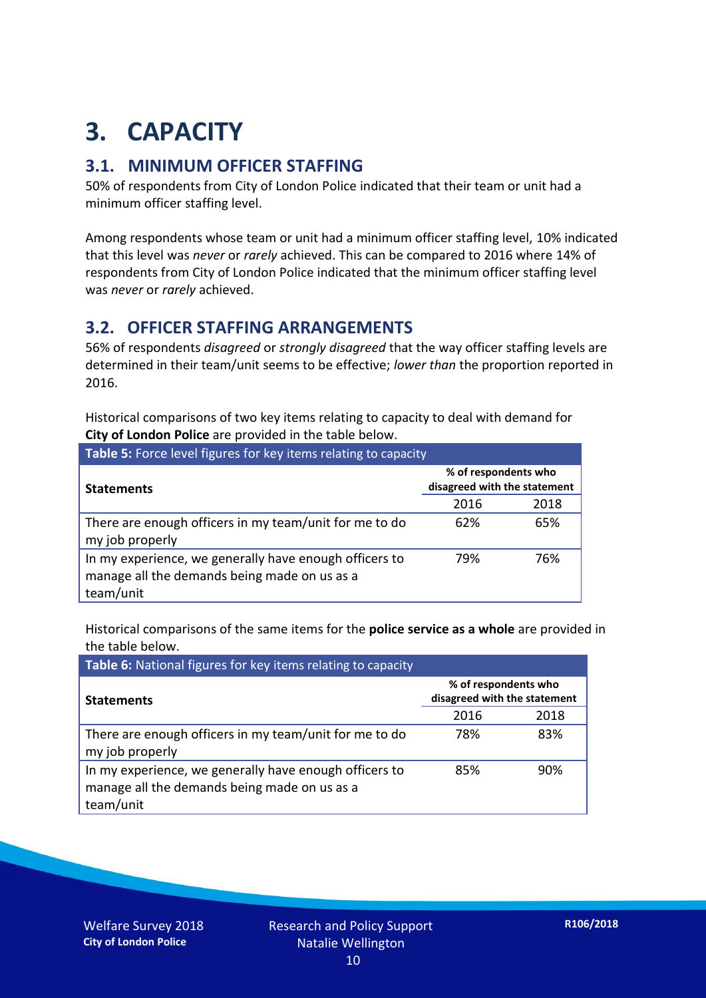## **3. CAPACITY**

### **3.1. MINIMUM OFFICER STAFFING**

50% of respondents from City of London Police indicated that their team or unit had a minimum officer staffing level.

Among respondents whose team or unit had a minimum officer staffing level, 10% indicated that this level was *never* or *rarely* achieved. This can be compared to 2016 where 14% of respondents from City of London Police indicated that the minimum officer staffing level was *never* or *rarely* achieved.

#### **3.2. OFFICER STAFFING ARRANGEMENTS**

56% of respondents *disagreed* or *strongly disagreed* that the way officer staffing levels are determined in their team/unit seems to be effective; *lower than* the proportion reported in 2016.

Historical comparisons of two key items relating to capacity to deal with demand for **City of London Police** are provided in the table below.

| <b>Table 5:</b> Force level figures for key items relating to capacity                                              |                                                      |      |  |
|---------------------------------------------------------------------------------------------------------------------|------------------------------------------------------|------|--|
| <b>Statements</b>                                                                                                   | % of respondents who<br>disagreed with the statement |      |  |
|                                                                                                                     | 2016                                                 | 2018 |  |
| There are enough officers in my team/unit for me to do<br>my job properly                                           | 62%                                                  | 65%  |  |
| In my experience, we generally have enough officers to<br>manage all the demands being made on us as a<br>team/unit | 79%                                                  | 76%  |  |

Historical comparisons of the same items for the **police service as a whole** are provided in the table below.

| Table 6: National figures for key items relating to capacity                                                        |                                                      |      |  |  |
|---------------------------------------------------------------------------------------------------------------------|------------------------------------------------------|------|--|--|
| <b>Statements</b>                                                                                                   | % of respondents who<br>disagreed with the statement |      |  |  |
|                                                                                                                     | 2016                                                 | 2018 |  |  |
| There are enough officers in my team/unit for me to do<br>my job properly                                           | 78%                                                  | 83%  |  |  |
| In my experience, we generally have enough officers to<br>manage all the demands being made on us as a<br>team/unit | 85%                                                  | 90%  |  |  |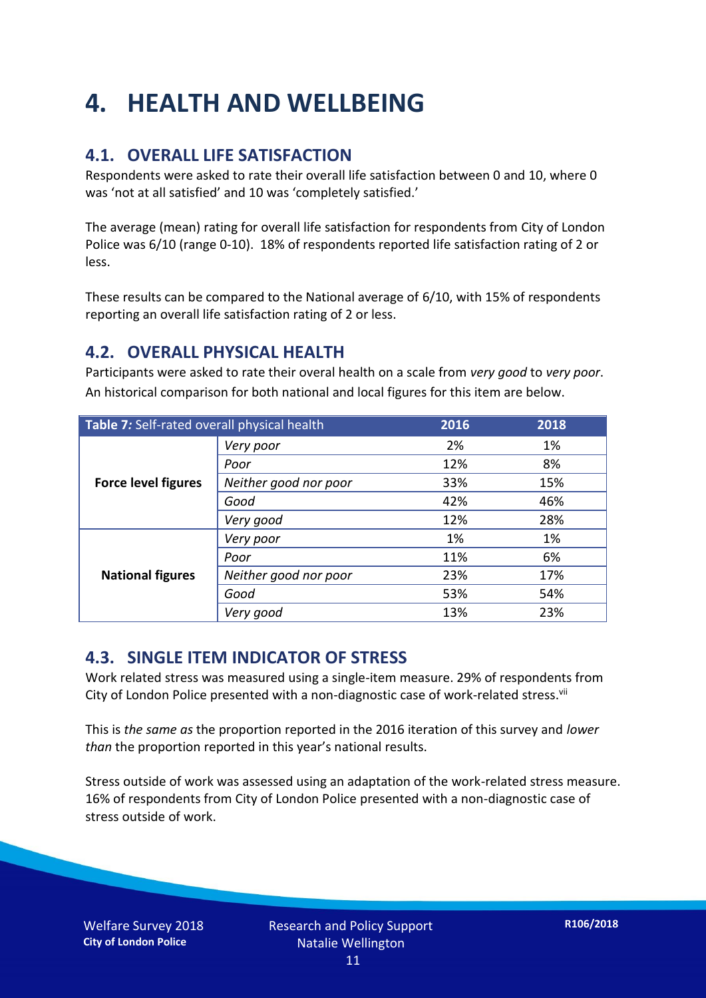## **4. HEALTH AND WELLBEING**

### **4.1. OVERALL LIFE SATISFACTION**

Respondents were asked to rate their overall life satisfaction between 0 and 10, where 0 was 'not at all satisfied' and 10 was 'completely satisfied.'

The average (mean) rating for overall life satisfaction for respondents from City of London Police was 6/10 (range 0-10). 18% of respondents reported life satisfaction rating of 2 or less.

These results can be compared to the National average of 6/10, with 15% of respondents reporting an overall life satisfaction rating of 2 or less.

### **4.2. OVERALL PHYSICAL HEALTH**

Participants were asked to rate their overal health on a scale from *very good* to *very poor*. An historical comparison for both national and local figures for this item are below.

| Table 7: Self-rated overall physical health |                       | 2016 | 2018 |
|---------------------------------------------|-----------------------|------|------|
| <b>Force level figures</b>                  | Very poor             | 2%   | 1%   |
|                                             | Poor                  | 12%  | 8%   |
|                                             | Neither good nor poor | 33%  | 15%  |
|                                             | Good                  | 42%  | 46%  |
|                                             | Very good             | 12%  | 28%  |
| <b>National figures</b>                     | Very poor             | 1%   | 1%   |
|                                             | Poor                  | 11%  | 6%   |
|                                             | Neither good nor poor | 23%  | 17%  |
|                                             | Good                  | 53%  | 54%  |
|                                             | Very good             | 13%  | 23%  |

### **4.3. SINGLE ITEM INDICATOR OF STRESS**

Work related stress was measured using a single-item measure. 29% of respondents from City of London Police presented with a non-diagnostic case of work-related stress.<sup>vii</sup>

This is *the same as* the proportion reported in the 2016 iteration of this survey and *lower than* the proportion reported in this year's national results.

Stress outside of work was assessed using an adaptation of the work-related stress measure. 16% of respondents from City of London Police presented with a non-diagnostic case of stress outside of work.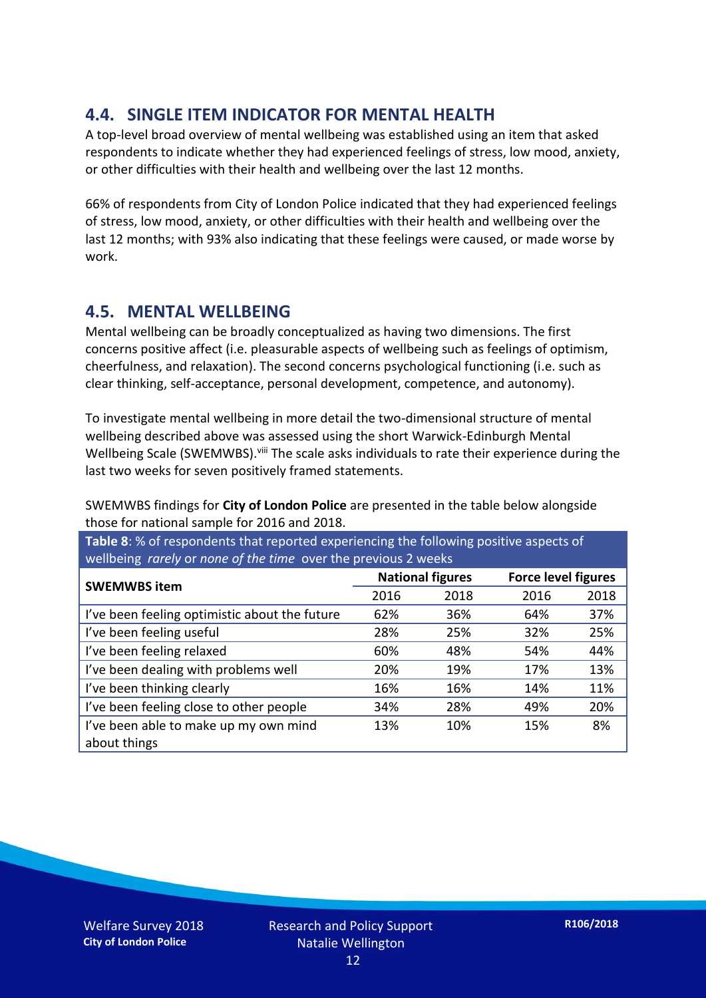### **4.4. SINGLE ITEM INDICATOR FOR MENTAL HEALTH**

A top-level broad overview of mental wellbeing was established using an item that asked respondents to indicate whether they had experienced feelings of stress, low mood, anxiety, or other difficulties with their health and wellbeing over the last 12 months.

66% of respondents from City of London Police indicated that they had experienced feelings of stress, low mood, anxiety, or other difficulties with their health and wellbeing over the last 12 months; with 93% also indicating that these feelings were caused, or made worse by work.

#### **4.5. MENTAL WELLBEING**

Mental wellbeing can be broadly conceptualized as having two dimensions. The first concerns positive affect (i.e. pleasurable aspects of wellbeing such as feelings of optimism, cheerfulness, and relaxation). The second concerns psychological functioning (i.e. such as clear thinking, self-acceptance, personal development, competence, and autonomy).

To investigate mental wellbeing in more detail the two-dimensional structure of mental wellbeing described above was assessed using the short Warwick-Edinburgh Mental Wellbeing Scale (SWEMWBS). viii The scale asks individuals to rate their experience during the last two weeks for seven positively framed statements.

SWEMWBS findings for **City of London Police** are presented in the table below alongside those for national sample for 2016 and 2018.

**Table 8**: % of respondents that reported experiencing the following positive aspects of wellbeing *rarely* or *none of the time* over the previous 2 weeks

| <b>SWEMWBS item</b>                           | <b>National figures</b> |      | <b>Force level figures</b> |      |
|-----------------------------------------------|-------------------------|------|----------------------------|------|
|                                               | 2016                    | 2018 | 2016                       | 2018 |
| I've been feeling optimistic about the future | 62%                     | 36%  | 64%                        | 37%  |
| I've been feeling useful                      | 28%                     | 25%  | 32%                        | 25%  |
| I've been feeling relaxed                     | 60%                     | 48%  | 54%                        | 44%  |
| I've been dealing with problems well          | 20%                     | 19%  | 17%                        | 13%  |
| I've been thinking clearly                    | 16%                     | 16%  | 14%                        | 11%  |
| I've been feeling close to other people       | 34%                     | 28%  | 49%                        | 20%  |
| I've been able to make up my own mind         | 13%                     | 10%  | 15%                        | 8%   |
| about things                                  |                         |      |                            |      |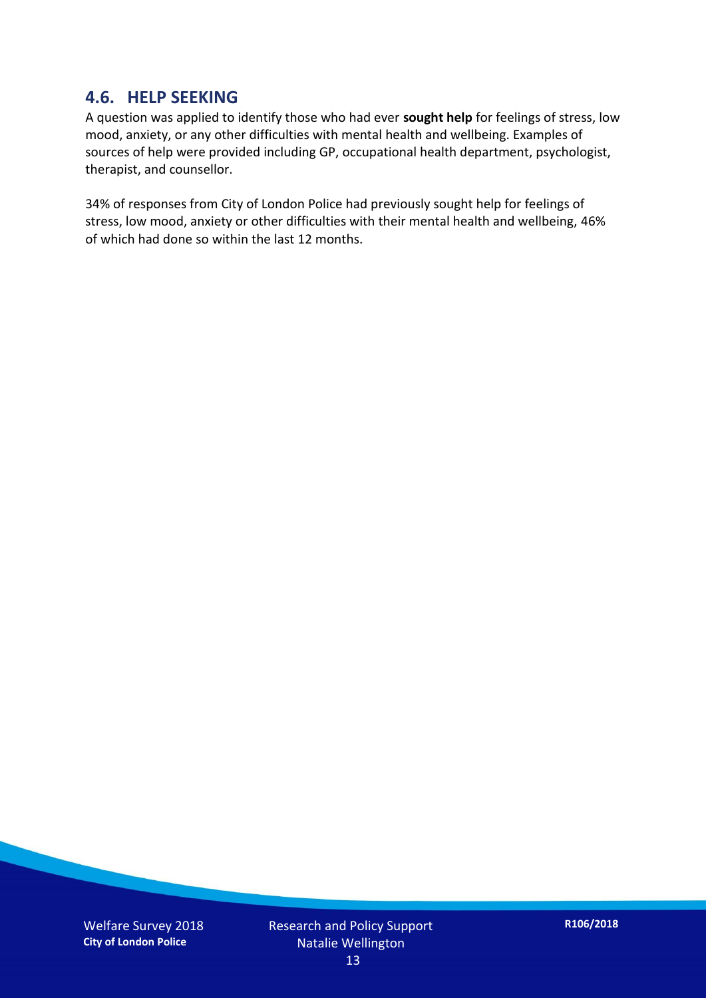#### **4.6. HELP SEEKING**

A question was applied to identify those who had ever **sought help** for feelings of stress, low mood, anxiety, or any other difficulties with mental health and wellbeing. Examples of sources of help were provided including GP, occupational health department, psychologist, therapist, and counsellor.

34% of responses from City of London Police had previously sought help for feelings of stress, low mood, anxiety or other difficulties with their mental health and wellbeing, 46% of which had done so within the last 12 months.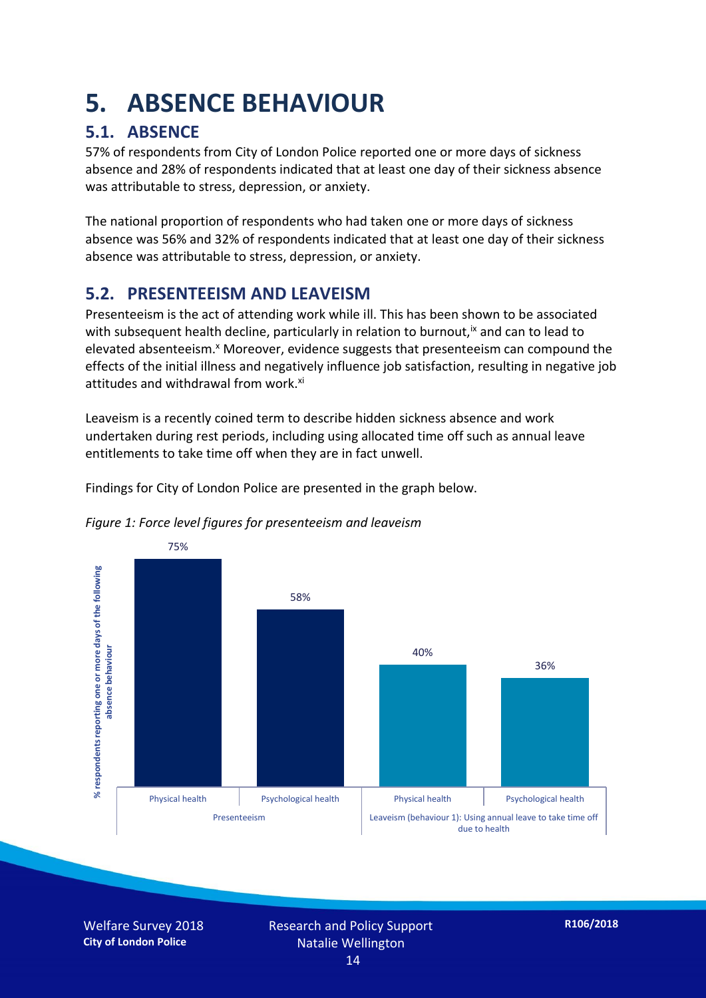## **5. ABSENCE BEHAVIOUR**

### **5.1. ABSENCE**

57% of respondents from City of London Police reported one or more days of sickness absence and 28% of respondents indicated that at least one day of their sickness absence was attributable to stress, depression, or anxiety.

The national proportion of respondents who had taken one or more days of sickness absence was 56% and 32% of respondents indicated that at least one day of their sickness absence was attributable to stress, depression, or anxiety.

### **5.2. PRESENTEEISM AND LEAVEISM**

Presenteeism is the act of attending work while ill. This has been shown to be associated with subsequent health decline, particularly in relation to burnout,  $\alpha$  and can to lead to elevated absenteeism.<sup>x</sup> Moreover, evidence suggests that presenteeism can compound the effects of the initial illness and negatively influence job satisfaction, resulting in negative job attitudes and withdrawal from work.<sup>xi</sup>

Leaveism is a recently coined term to describe hidden sickness absence and work undertaken during rest periods, including using allocated time off such as annual leave entitlements to take time off when they are in fact unwell.

Findings for City of London Police are presented in the graph below.



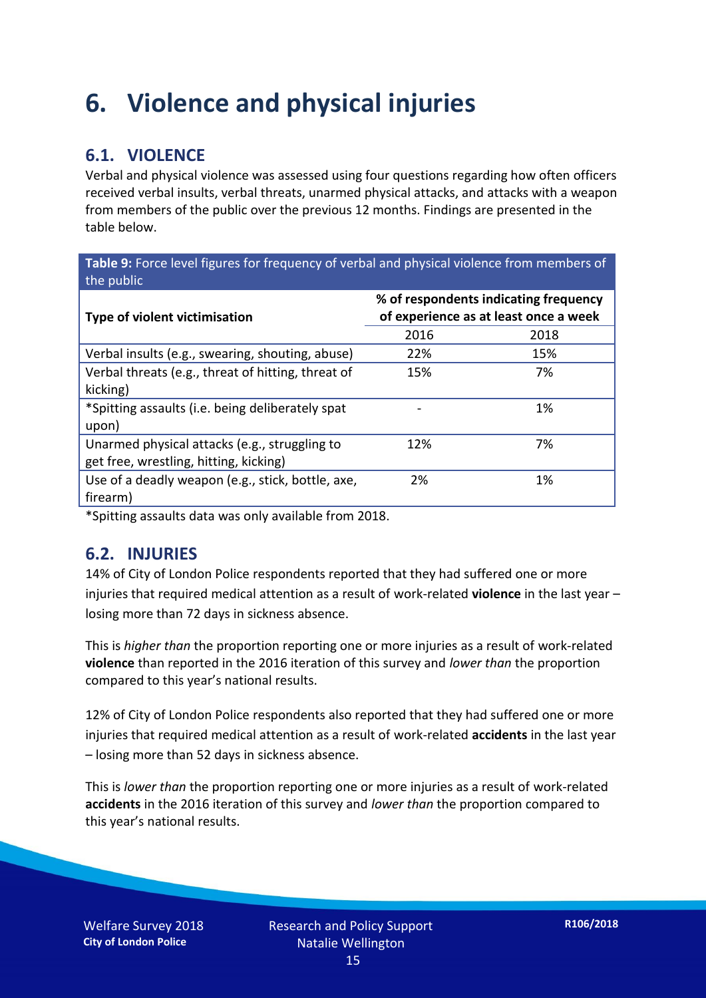## **6. Violence and physical injuries**

### **6.1. VIOLENCE**

Verbal and physical violence was assessed using four questions regarding how often officers received verbal insults, verbal threats, unarmed physical attacks, and attacks with a weapon from members of the public over the previous 12 months. Findings are presented in the table below.

**Table 9:** Force level figures for frequency of verbal and physical violence from members of the public

| Type of violent victimisation                      | % of respondents indicating frequency<br>of experience as at least once a week |      |
|----------------------------------------------------|--------------------------------------------------------------------------------|------|
|                                                    | 2016                                                                           | 2018 |
| Verbal insults (e.g., swearing, shouting, abuse)   | 22%                                                                            | 15%  |
| Verbal threats (e.g., threat of hitting, threat of | 15%                                                                            | 7%   |
| kicking)                                           |                                                                                |      |
| *Spitting assaults (i.e. being deliberately spat   |                                                                                | 1%   |
| upon)                                              |                                                                                |      |
| Unarmed physical attacks (e.g., struggling to      | 12%                                                                            | 7%   |
| get free, wrestling, hitting, kicking)             |                                                                                |      |
| Use of a deadly weapon (e.g., stick, bottle, axe,  | 2%                                                                             | 1%   |
| firearm)                                           |                                                                                |      |

\*Spitting assaults data was only available from 2018.

#### **6.2. INJURIES**

14% of City of London Police respondents reported that they had suffered one or more injuries that required medical attention as a result of work-related **violence** in the last year – losing more than 72 days in sickness absence.

This is *higher than* the proportion reporting one or more injuries as a result of work-related **violence** than reported in the 2016 iteration of this survey and *lower than* the proportion compared to this year's national results.

12% of City of London Police respondents also reported that they had suffered one or more injuries that required medical attention as a result of work-related **accidents** in the last year – losing more than 52 days in sickness absence.

This is *lower than* the proportion reporting one or more injuries as a result of work-related **accidents** in the 2016 iteration of this survey and *lower than* the proportion compared to this year's national results.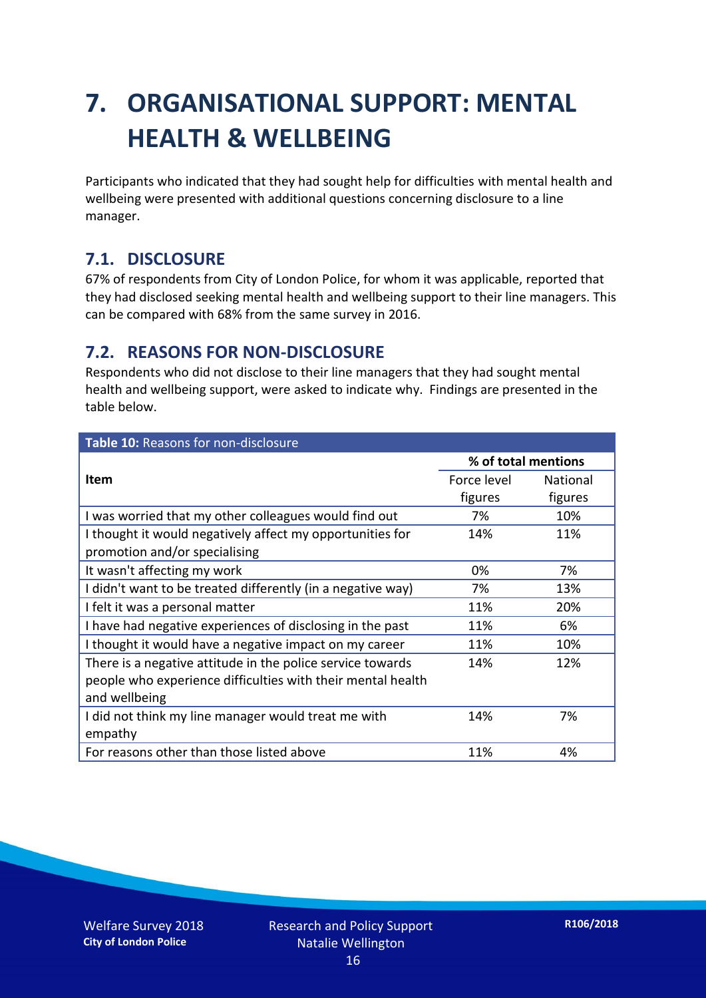## **7. ORGANISATIONAL SUPPORT: MENTAL HEALTH & WELLBEING**

Participants who indicated that they had sought help for difficulties with mental health and wellbeing were presented with additional questions concerning disclosure to a line manager.

#### **7.1. DISCLOSURE**

67% of respondents from City of London Police, for whom it was applicable, reported that they had disclosed seeking mental health and wellbeing support to their line managers. This can be compared with 68% from the same survey in 2016.

#### **7.2. REASONS FOR NON-DISCLOSURE**

Respondents who did not disclose to their line managers that they had sought mental health and wellbeing support, were asked to indicate why. Findings are presented in the table below.

| Table 10: Reasons for non-disclosure                        |             |                     |  |
|-------------------------------------------------------------|-------------|---------------------|--|
|                                                             |             | % of total mentions |  |
| <b>Item</b>                                                 | Force level | <b>National</b>     |  |
|                                                             | figures     | figures             |  |
| I was worried that my other colleagues would find out       | 7%          | 10%                 |  |
| I thought it would negatively affect my opportunities for   | 14%         | 11%                 |  |
| promotion and/or specialising                               |             |                     |  |
| It wasn't affecting my work                                 | 0%          | 7%                  |  |
| I didn't want to be treated differently (in a negative way) | 7%          | 13%                 |  |
| I felt it was a personal matter                             | 11%         | 20%                 |  |
| I have had negative experiences of disclosing in the past   | 11%         | 6%                  |  |
| I thought it would have a negative impact on my career      | 11%         | 10%                 |  |
| There is a negative attitude in the police service towards  | 14%         | 12%                 |  |
| people who experience difficulties with their mental health |             |                     |  |
| and wellbeing                                               |             |                     |  |
| I did not think my line manager would treat me with         | 14%         | 7%                  |  |
| empathy                                                     |             |                     |  |
| For reasons other than those listed above                   | 11%         | 4%                  |  |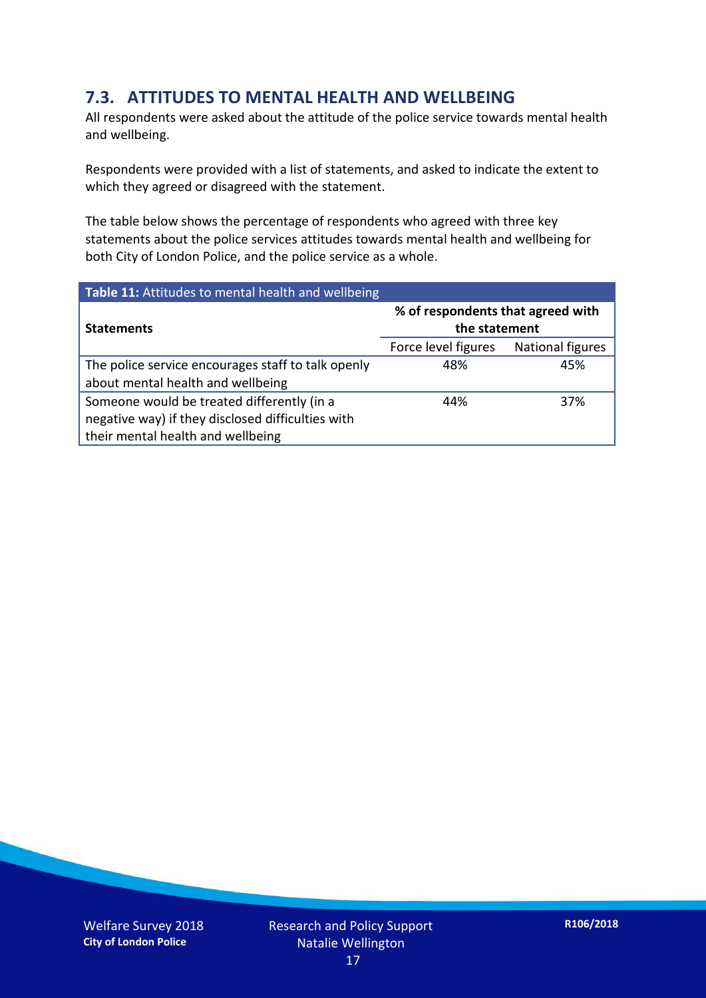### **7.3. ATTITUDES TO MENTAL HEALTH AND WELLBEING**

All respondents were asked about the attitude of the police service towards mental health and wellbeing.

Respondents were provided with a list of statements, and asked to indicate the extent to which they agreed or disagreed with the statement.

The table below shows the percentage of respondents who agreed with three key statements about the police services attitudes towards mental health and wellbeing for both City of London Police, and the police service as a whole.

| Table 11: Attitudes to mental health and wellbeing |                                                    |                         |
|----------------------------------------------------|----------------------------------------------------|-------------------------|
| <b>Statements</b>                                  | % of respondents that agreed with<br>the statement |                         |
|                                                    | Force level figures                                | <b>National figures</b> |
| The police service encourages staff to talk openly | 48%                                                | 45%                     |
| about mental health and wellbeing                  |                                                    |                         |
| Someone would be treated differently (in a         | 44%                                                | 37%                     |
| negative way) if they disclosed difficulties with  |                                                    |                         |
| their mental health and wellbeing                  |                                                    |                         |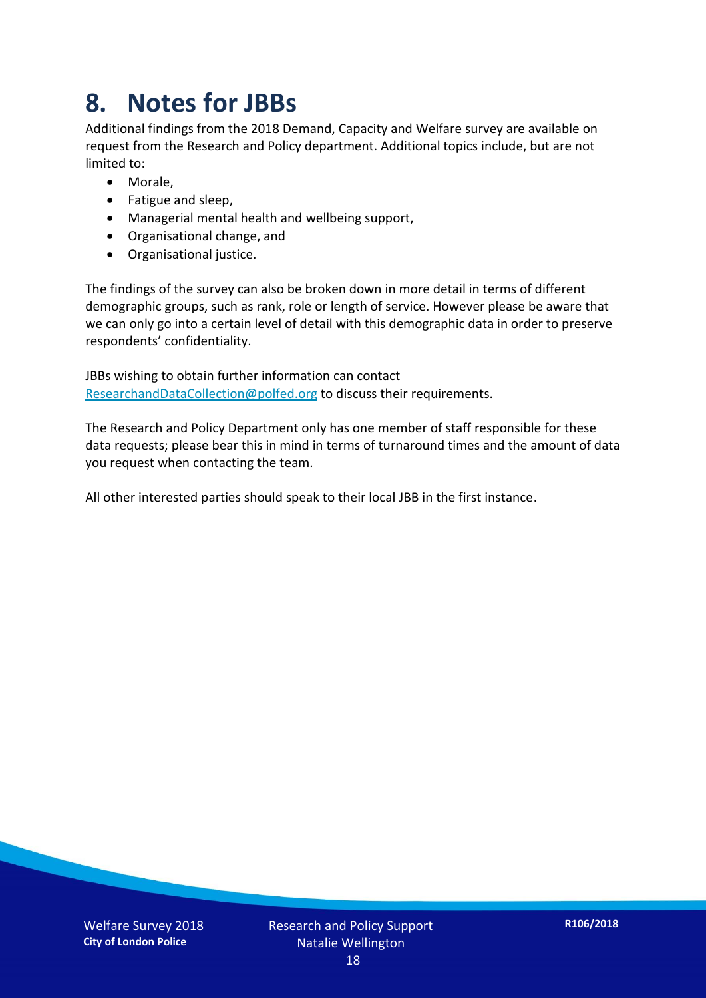## **8. Notes for JBBs**

Additional findings from the 2018 Demand, Capacity and Welfare survey are available on request from the Research and Policy department. Additional topics include, but are not limited to:

- Morale,
- Fatigue and sleep,
- Managerial mental health and wellbeing support,
- Organisational change, and
- Organisational justice.

The findings of the survey can also be broken down in more detail in terms of different demographic groups, such as rank, role or length of service. However please be aware that we can only go into a certain level of detail with this demographic data in order to preserve respondents' confidentiality.

JBBs wishing to obtain further information can contact [ResearchandDataCollection@polfed.org](mailto:ResearchandDataCollection@polfed.org) to discuss their requirements.

The Research and Policy Department only has one member of staff responsible for these data requests; please bear this in mind in terms of turnaround times and the amount of data you request when contacting the team.

All other interested parties should speak to their local JBB in the first instance.